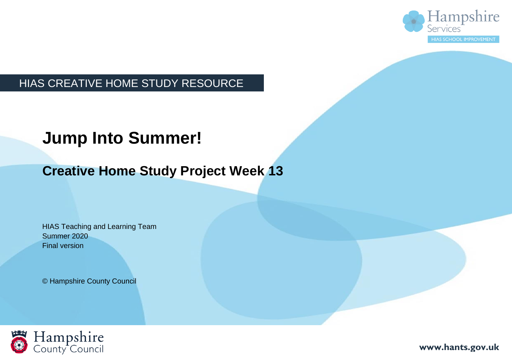

### HIAS CREATIVE HOME STUDY RESOURCE

# **Jump Into Summer!**

### **Creative Home Study Project Week 13**

HIAS Teaching and Learning Team Summer 2020 Final version

© Hampshire County Council



**www.hants.gov.uk**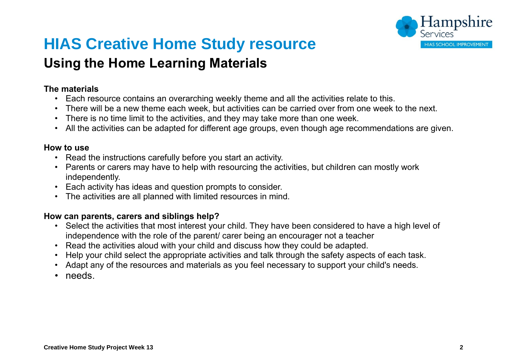

# **HIAS Creative Home Study resource**

### **Using the Home Learning Materials**

#### **The materials**

- Each resource contains an overarching weekly theme and all the activities relate to this.
- There will be a new theme each week, but activities can be carried over from one week to the next.
- There is no time limit to the activities, and they may take more than one week.
- All the activities can be adapted for different age groups, even though age recommendations are given.

#### **How to use**

- Read the instructions carefully before you start an activity.
- Parents or carers may have to help with resourcing the activities, but children can mostly work independently.
- Each activity has ideas and question prompts to consider.
- The activities are all planned with limited resources in mind.

#### **How can parents, carers and siblings help?**

- Select the activities that most interest your child. They have been considered to have a high level of independence with the role of the parent/ carer being an encourager not a teacher
- Read the activities aloud with your child and discuss how they could be adapted.
- Help your child select the appropriate activities and talk through the safety aspects of each task.
- Adapt any of the resources and materials as you feel necessary to support your child's needs.
- needs.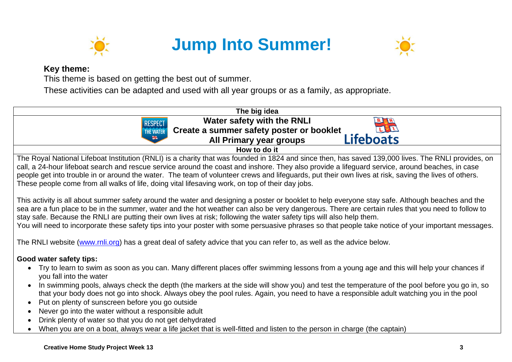

# **Jump Into Summer!**



#### **Key theme:**

This theme is based on getting the best out of summer.

These activities can be adapted and used with all year groups or as a family, as appropriate.



- In swimming pools, always check the depth (the markers at the side will show you) and test the temperature of the pool before you go in, so that your body does not go into shock. Always obey the pool rules. Again, you need to have a responsible adult watching you in the pool
- Put on plenty of sunscreen before you go outside
- Never go into the water without a responsible adult
- Drink plenty of water so that you do not get dehydrated
- When you are on a boat, always wear a life jacket that is well-fitted and listen to the person in charge (the captain)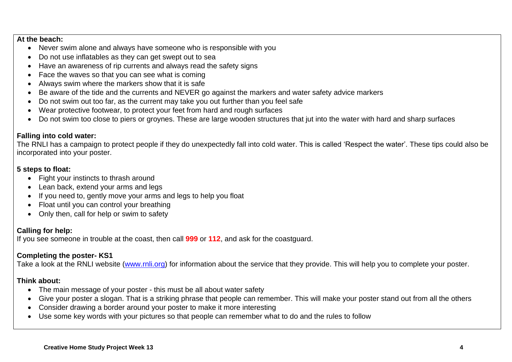#### **At the beach:**

- Never swim alone and always have someone who is responsible with you
- Do not use inflatables as they can get swept out to sea
- Have an awareness of rip currents and always read the safety signs
- Face the waves so that you can see what is coming
- Always swim where the markers show that it is safe
- Be aware of the tide and the currents and NEVER go against the markers and water safety advice markers
- Do not swim out too far, as the current may take you out further than you feel safe
- Wear protective footwear, to protect your feet from hard and rough surfaces
- Do not swim too close to piers or groynes. These are large wooden structures that jut into the water with hard and sharp surfaces

#### **Falling into cold water:**

The RNLI has a campaign to protect people if they do unexpectedly fall into cold water. This is called 'Respect the water'. These tips could also be incorporated into your poster.

#### **5 steps to float:**

- Fight your instincts to thrash around
- Lean back, extend your arms and legs
- If you need to, gently move your arms and legs to help you float
- Float until you can control your breathing
- Only then, call for help or swim to safety

#### **Calling for help:**

If you see someone in trouble at the coast, then call **999** or **112**, and ask for the coastguard.

#### **Completing the poster- KS1**

Take a look at the RNLI website [\(www.rnli.org\)](http://www.rnli.org/) for information about the service that they provide. This will help you to complete your poster.

#### **Think about:**

- The main message of your poster this must be all about water safety
- Give your poster a slogan. That is a striking phrase that people can remember. This will make your poster stand out from all the others
- Consider drawing a border around your poster to make it more interesting
- Use some key words with your pictures so that people can remember what to do and the rules to follow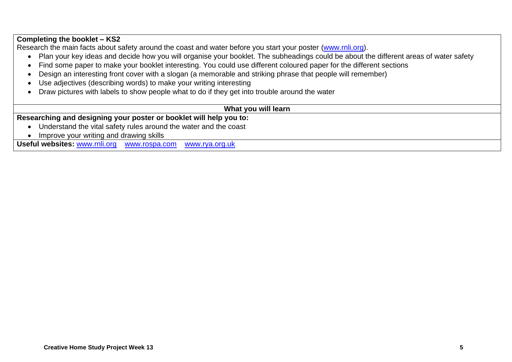#### **Completing the booklet – KS2**

Research the main facts about safety around the coast and water before you start your poster [\(www.rnli.org\)](http://www.rnli.org/).

- Plan your key ideas and decide how you will organise your booklet. The subheadings could be about the different areas of water safety
- Find some paper to make your booklet interesting. You could use different coloured paper for the different sections
- Design an interesting front cover with a slogan (a memorable and striking phrase that people will remember)
- Use adjectives (describing words) to make your writing interesting
- Draw pictures with labels to show people what to do if they get into trouble around the water

#### **What you will learn**

**Researching and designing your poster or booklet will help you to:**

- Understand the vital safety rules around the water and the coast
- Improve your writing and drawing skills

**Useful websites:** [www.rnli.org](http://www.rnli.org/)[www.rospa.com](http://www.rospa.com/)[www.rya.org.uk](http://www.rya.org.uk/)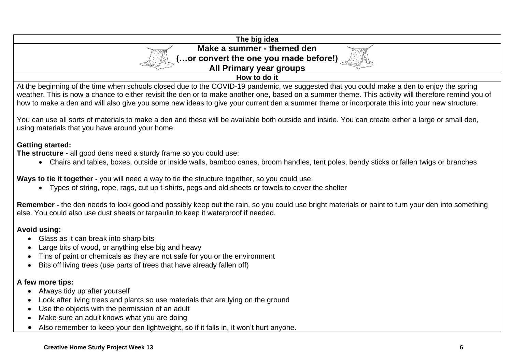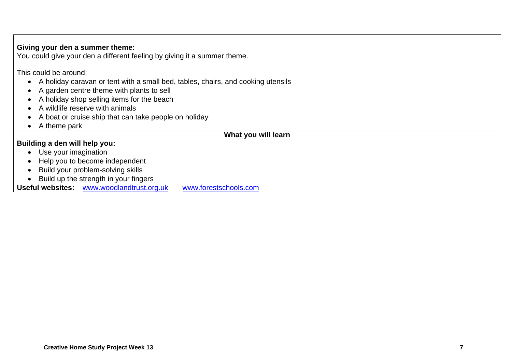#### This could be around: • A holiday caravan or tent with a small bed, tables, chairs, and cooking utensils • A garden centre theme with plants to sell • A holiday shop selling items for the beach • A wildlife reserve with animals • A boat or cruise ship that can take people on holiday • A theme park **What you will learn Building a den will help you:** • Use your imagination • Help you to become independent • Build your problem-solving skills • Build up the strength in your fingers **Useful websites:** [www.woodlandtrust.org.uk](http://www.woodlandtrust.org.uk/) [www.forestschools.com](http://www.forestschools.com/)

**Giving your den a summer theme:**

You could give your den a different feeling by giving it a summer theme.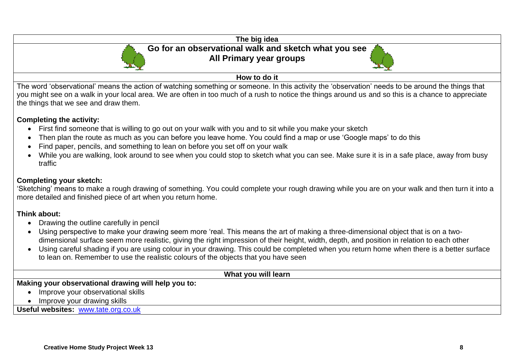

you might see on a walk in your local area. We are often in too much of a rush to notice the things around us and so this is a chance to appreciate the things that we see and draw them.

#### **Completing the activity:**

- First find someone that is willing to go out on your walk with you and to sit while you make your sketch
- Then plan the route as much as you can before you leave home. You could find a map or use 'Google maps' to do this
- Find paper, pencils, and something to lean on before you set off on your walk
- While you are walking, look around to see when you could stop to sketch what you can see. Make sure it is in a safe place, away from busy traffic

#### **Completing your sketch:**

'Sketching' means to make a rough drawing of something. You could complete your rough drawing while you are on your walk and then turn it into a more detailed and finished piece of art when you return home.

#### **Think about:**

- Drawing the outline carefully in pencil
- Using perspective to make your drawing seem more 'real. This means the art of making a three-dimensional object that is on a twodimensional surface seem more realistic, giving the right impression of their height, width, depth, and position in relation to each other
- Using careful shading if you are using colour in your drawing. This could be completed when you return home when there is a better surface to lean on. Remember to use the realistic colours of the objects that you have seen

| What you will learn                                 |
|-----------------------------------------------------|
| Making your observational drawing will help you to: |
| Improve your observational skills                   |
| Improve your drawing skills                         |
| Useful websites: www.tate.org.co.uk                 |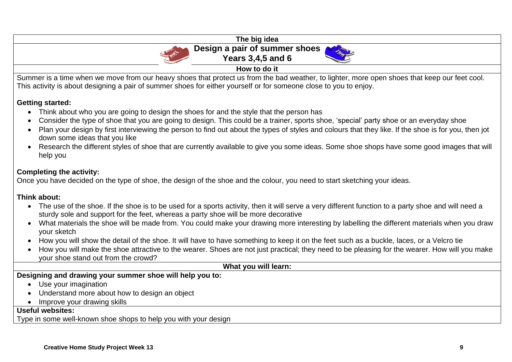| The big idea                                                                                                                                                                                                                                                       |
|--------------------------------------------------------------------------------------------------------------------------------------------------------------------------------------------------------------------------------------------------------------------|
| Design a pair of summer shoes                                                                                                                                                                                                                                      |
| <b>Years 3,4,5 and 6</b>                                                                                                                                                                                                                                           |
| How to do it                                                                                                                                                                                                                                                       |
| Summer is a time when we move from our heavy shoes that protect us from the bad weather, to lighter, more open shoes that keep our feet cool.<br>This activity is about designing a pair of summer shoes for either yourself or for someone close to you to enjoy. |

#### **Getting started:**

- Think about who you are going to design the shoes for and the style that the person has
- Consider the type of shoe that you are going to design. This could be a trainer, sports shoe, 'special' party shoe or an everyday shoe
- Plan your design by first interviewing the person to find out about the types of styles and colours that they like. If the shoe is for you, then jot down some ideas that you like
- Research the different styles of shoe that are currently available to give you some ideas. Some shoe shops have some good images that will help you

#### **Completing the activity:**

Once you have decided on the type of shoe, the design of the shoe and the colour, you need to start sketching your ideas.

#### **Think about:**

- The use of the shoe. If the shoe is to be used for a sports activity, then it will serve a very different function to a party shoe and will need a sturdy sole and support for the feet, whereas a party shoe will be more decorative
- What materials the shoe will be made from. You could make your drawing more interesting by labelling the different materials when you draw your sketch
- How you will show the detail of the shoe. It will have to have something to keep it on the feet such as a buckle, laces, or a Velcro tie
- How you will make the shoe attractive to the wearer. Shoes are not just practical; they need to be pleasing for the wearer. How will you make your shoe stand out from the crowd?

#### **What you will learn:**

#### **Designing and drawing your summer shoe will help you to:**

- Use your imagination
- Understand more about how to design an object
- Improve your drawing skills

#### **Useful websites:**

Type in some well-known shoe shops to help you with your design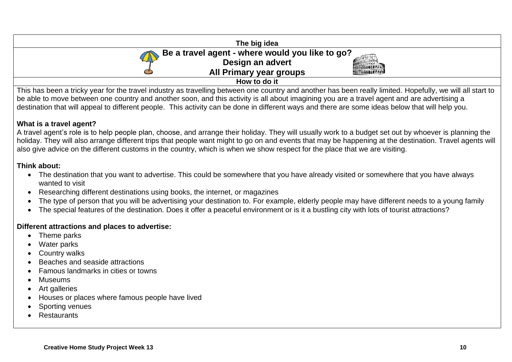| The big idea                                    |
|-------------------------------------------------|
| Be a travel agent - where would you like to go? |
| Design an advert<br><b>ATTENDADE LE</b>         |
| All Primary year groups                         |
| How to do it                                    |

This has been a tricky year for the travel industry as travelling between one country and another has been really limited. Hopefully, we will all start to be able to move between one country and another soon, and this activity is all about imagining you are a travel agent and are advertising a destination that will appeal to different people. This activity can be done in different ways and there are some ideas below that will help you.

#### **What is a travel agent?**

A travel agent's role is to help people plan, choose, and arrange their holiday. They will usually work to a budget set out by whoever is planning the holiday. They will also arrange different trips that people want might to go on and events that may be happening at the destination. Travel agents will also give advice on the different customs in the country, which is when we show respect for the place that we are visiting.

#### **Think about:**

- The destination that you want to advertise. This could be somewhere that you have already visited or somewhere that you have always wanted to visit
- Researching different destinations using books, the internet, or magazines
- The type of person that you will be advertising your destination to. For example, elderly people may have different needs to a young family
- The special features of the destination. Does it offer a peaceful environment or is it a bustling city with lots of tourist attractions?

#### **Different attractions and places to advertise:**

- Theme parks
- Water parks
- Country walks
- Beaches and seaside attractions
- Famous landmarks in cities or towns
- Museums
- Art galleries
- Houses or places where famous people have lived
- Sporting venues
- **Restaurants**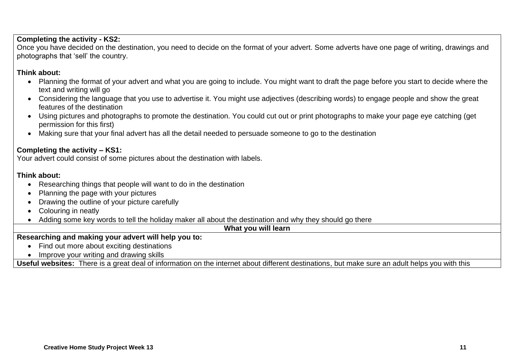#### **Completing the activity - KS2:**

Once you have decided on the destination, you need to decide on the format of your advert. Some adverts have one page of writing, drawings and photographs that 'sell' the country.

#### **Think about:**

- Planning the format of your advert and what you are going to include. You might want to draft the page before you start to decide where the text and writing will go
- Considering the language that you use to advertise it. You might use adiectives (describing words) to engage people and show the great features of the destination
- Using pictures and photographs to promote the destination. You could cut out or print photographs to make your page eye catching (get permission for this first)
- Making sure that your final advert has all the detail needed to persuade someone to go to the destination

#### **Completing the activity – KS1:**

Your advert could consist of some pictures about the destination with labels.

#### **Think about:**

- Researching things that people will want to do in the destination
- Planning the page with your pictures
- Drawing the outline of your picture carefully
- Colouring in neatly
- Adding some key words to tell the holiday maker all about the destination and why they should go there

**What you will learn** 

#### **Researching and making your advert will help you to:**

- Find out more about exciting destinations
- Improve your writing and drawing skills

**Useful websites:** There is a great deal of information on the internet about different destinations, but make sure an adult helps you with this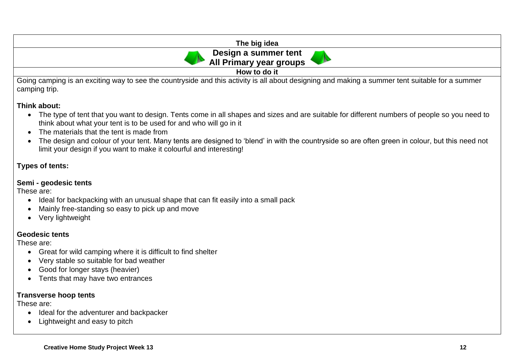| The big idea                                    |
|-------------------------------------------------|
| Design a summer tent<br>All Primary year groups |
| How to do it                                    |

Going camping is an exciting way to see the countryside and this activity is all about designing and making a summer tent suitable for a summer camping trip.

#### **Think about:**

- The type of tent that you want to design. Tents come in all shapes and sizes and are suitable for different numbers of people so you need to think about what your tent is to be used for and who will go in it
- The materials that the tent is made from
- The design and colour of your tent. Many tents are designed to 'blend' in with the countryside so are often green in colour, but this need not limit your design if you want to make it colourful and interesting!

#### **Types of tents:**

#### **Semi - geodesic tents**

These are:

- Ideal for backpacking with an unusual shape that can fit easily into a small pack
- Mainly free-standing so easy to pick up and move
- Very lightweight

#### **Geodesic tents**

These are:

- Great for wild camping where it is difficult to find shelter
- Very stable so suitable for bad weather
- Good for longer stays (heavier)
- Tents that may have two entrances

#### **Transverse hoop tents**

These are:

- Ideal for the adventurer and backpacker
- Lightweight and easy to pitch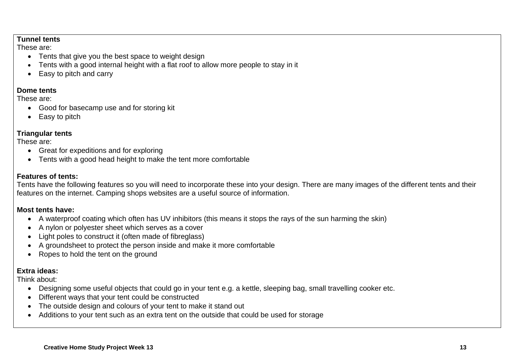#### **Tunnel tents**

These are:

- Tents that give you the best space to weight design
- Tents with a good internal height with a flat roof to allow more people to stay in it
- Easy to pitch and carry

#### **Dome tents**

These are:

- Good for basecamp use and for storing kit
- **Easy to pitch**

#### **Triangular tents**

These are:

- Great for expeditions and for exploring
- Tents with a good head height to make the tent more comfortable

#### **Features of tents:**

Tents have the following features so you will need to incorporate these into your design. There are many images of the different tents and their features on the internet. Camping shops websites are a useful source of information.

#### **Most tents have:**

- A waterproof coating which often has UV inhibitors (this means it stops the rays of the sun harming the skin)
- A nylon or polyester sheet which serves as a cover
- Light poles to construct it (often made of fibreglass)
- A groundsheet to protect the person inside and make it more comfortable
- Ropes to hold the tent on the ground

#### **Extra ideas:**

Think about:

- Designing some useful objects that could go in your tent e.g. a kettle, sleeping bag, small travelling cooker etc.
- Different ways that your tent could be constructed
- The outside design and colours of your tent to make it stand out
- Additions to your tent such as an extra tent on the outside that could be used for storage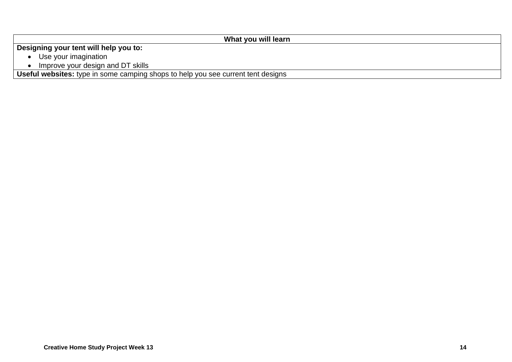| What you will learn                                                              |
|----------------------------------------------------------------------------------|
| Designing your tent will help you to:                                            |
| Use your imagination                                                             |
| Improve your design and DT skills                                                |
| Useful websites: type in some camping shops to help you see current tent designs |

**Creative Home Study Project Week 13 14**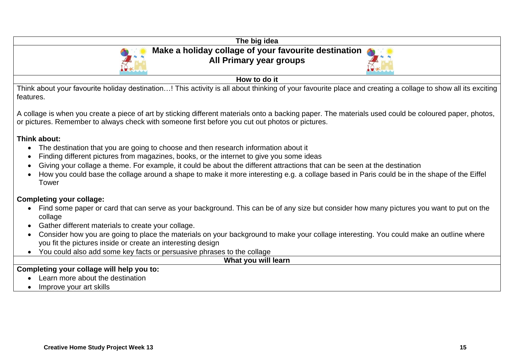| The big idea                                                                                                                                                                                                                                                                                                                                                                                                                                                                                                                    |
|---------------------------------------------------------------------------------------------------------------------------------------------------------------------------------------------------------------------------------------------------------------------------------------------------------------------------------------------------------------------------------------------------------------------------------------------------------------------------------------------------------------------------------|
| Make a holiday collage of your favourite destination<br>All Primary year groups                                                                                                                                                                                                                                                                                                                                                                                                                                                 |
|                                                                                                                                                                                                                                                                                                                                                                                                                                                                                                                                 |
| How to do it                                                                                                                                                                                                                                                                                                                                                                                                                                                                                                                    |
| Think about your favourite holiday destination! This activity is all about thinking of your favourite place and creating a collage to show all its exciting<br>features.                                                                                                                                                                                                                                                                                                                                                        |
| A collage is when you create a piece of art by sticking different materials onto a backing paper. The materials used could be coloured paper, photos,<br>or pictures. Remember to always check with someone first before you cut out photos or pictures.                                                                                                                                                                                                                                                                        |
| Think about:<br>The destination that you are going to choose and then research information about it<br>$\bullet$<br>Finding different pictures from magazines, books, or the internet to give you some ideas<br>Giving your collage a theme. For example, it could be about the different attractions that can be seen at the destination<br>How you could base the collage around a shape to make it more interesting e.g. a collage based in Paris could be in the shape of the Eiffel<br>Tower                               |
| <b>Completing your collage:</b><br>Find some paper or card that can serve as your background. This can be of any size but consider how many pictures you want to put on the<br>collage<br>Gather different materials to create your collage.<br>Consider how you are going to place the materials on your background to make your collage interesting. You could make an outline where<br>you fit the pictures inside or create an interesting design<br>You could also add some key facts or persuasive phrases to the collage |
| What you will learn                                                                                                                                                                                                                                                                                                                                                                                                                                                                                                             |
| Completing your collage will help you to:                                                                                                                                                                                                                                                                                                                                                                                                                                                                                       |
| Learn more about the destination                                                                                                                                                                                                                                                                                                                                                                                                                                                                                                |
| Improve your art skills                                                                                                                                                                                                                                                                                                                                                                                                                                                                                                         |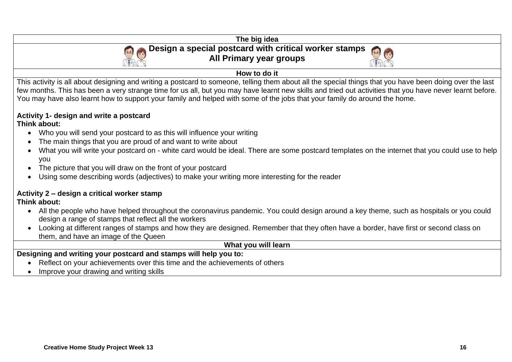

• Improve your drawing and writing skills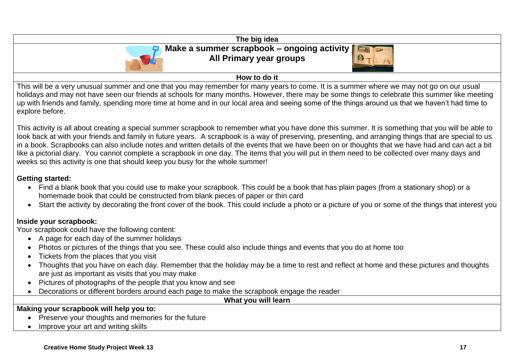

This activity is all about creating a special summer scrapbook to remember what you have done this summer. It is something that you will be able to look back at with your friends and family in future years. A scrapbook is a way of preserving, presenting, and arranging things that are special to us in a book. Scrapbooks can also include notes and written details of the events that we have been on or thoughts that we have had and can act a bit like a pictorial diary. You cannot complete a scrapbook in one day. The items that you will put in them need to be collected over many days and weeks so this activity is one that should keep you busy for the whole summer!

#### **Getting started:**

- Find a blank book that you could use to make your scrapbook. This could be a book that has plain pages (from a stationary shop) or a homemade book that could be constructed from blank pieces of paper or thin card
- Start the activity by decorating the front cover of the book. This could include a photo or a picture of you or some of the things that interest you

#### **Inside your scrapbook:**

Your scrapbook could have the following content:

- A page for each day of the summer holidays
- Photos or pictures of the things that you see. These could also include things and events that you do at home too
- Tickets from the places that you visit
- Thoughts that you have on each day. Remember that the holiday may be a time to rest and reflect at home and these pictures and thoughts are just as important as visits that you may make
- Pictures of photographs of the people that you know and see
- Decorations or different borders around each page to make the scrapbook engage the reader

**What you will learn** 

#### **Making your scrapbook will help you to:**

- Preserve your thoughts and memories for the future
- Improve your art and writing skills